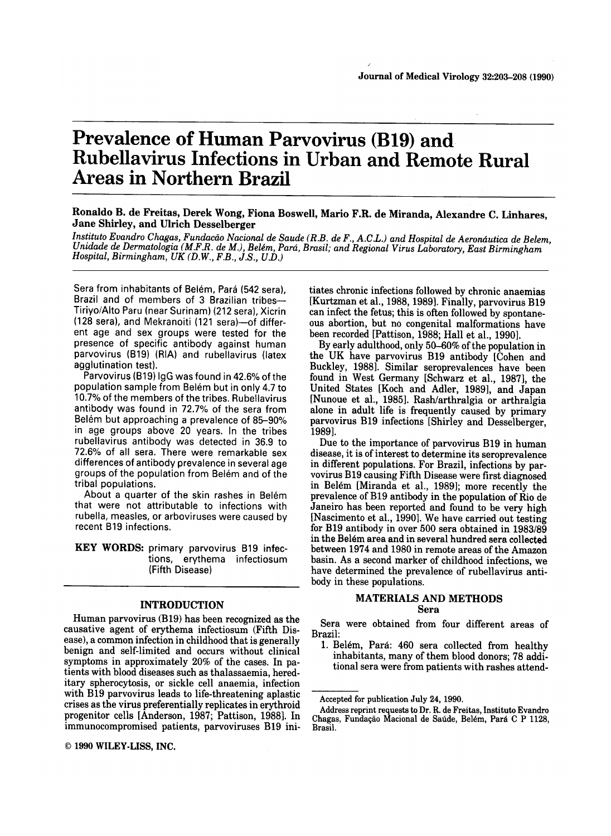# Prevalence of Human Parvovirus (B19) and Rubellavirus Infections in Urban and Remote Rural **Areas in Northern Brazil**

In the case of the change of the change  $\mathcal{L}$  is the change ...

## Ronaldo B. de Freitas, Derek Wong, Fiona Boswell, Mario F.R. de Miranda, Alexandre C. Linhares, Jane Shirley, and Ulrich Desselberger

Instituto Evandro Chagas, Fundacão Nacional de Saude (R.B. de F., A.C.L.) and Hospital de Aeronáutica de Belem, Unidade de Dermatologia (M.F.R. de M.), Belém, Pará, Brasil; and Regional Virus Laboratory, East Birmingham Hospital, Birmingham, UK (D.W., F.B., J.S., U.D.)

Sera from inhabitants of Belém, Pará (542 sera), tiates chronic infections followed by chronic anaemias ent age and sex groups were tested for the been recorded [Pattison, 1988; Hall et al., 1990]. presence of specific antibody against human By early adulthood, only 50-60% of the population in

in age groups above 20 years. In the tribes 1989]. rubellavirus antibody was detected in 36.9 to Due to the importance of parvovirus B19 in human

tions, erythema infectiosum (Fifth Disease)

Human parvovirus (B19) has been recognized as the Sera were obtained from four different areas of causative agent of erythema infectiosum (Fifth Dis- Brazil. ease), a common infection in childhood that is generally  $\frac{1}{1}$ . Belém, Pará: 460 sera collected from healthy benign and self-limited and occurs without clinical inhabitants, many of them blood donors; 78 addi-<br>
inhabitants, many of them blood donors; 78 addisymptoms in approximately 20% of the cases. In pa-<br>tional sera were from patients with rashes attend-<br>tional sera were from patients with rashes attendtients with blood diseases such as thalassaemia, hereditary spherocytosis, or sickle cell anaemia, infection with B19 parvovirus leads to life-threatening aplastic  $\frac{c}{\text{Accepted}}$  for publication July 24, 1990. crises as the virus preferentially replicates in erythroid Address reprint requests to Dr. R. de Freitas, Instituto Evandro immunocompromised patients, parvoviruses B19 ini- Brasil.

(Ç) 1990 WILEY.LISS, INC.

Brazil and of members of 3 Brazilian tribes-- [Kurtzman et al., 1988, 1989]. Finally, parvovirus B19 Tiriyo/Alto Paru (near Surinam) (212 sera), Xicrin can infect the fetus; this is often followed by spontane-<br>(128 sera), and Mekranoiti (121 sera)—of differ- ous abortion, but no congenital malformations have ous abortion, but no congenital malformations have

parvovirus (B19) (RIA) and rubellavirus (latex the UK have parvovirus B19 antibody [Cohen and agglutination test).<br>Parvovirus (B19) IgG was found in 42.6% of the found in West Germany [Schwarz et al., 1987], the found in West Germany [Schwarz et al., 1987], the population sample from Belém but in only 4.7 to United States [Koch and Adler, 1989], and Japan 10.7% of the members of the tribes. Rubellavirus [Nunoue et al., 1985]. Rash/arthralgia or arthralgia antibody was found in 72.7% of the sera from alone in adult life is frequently caused by primary Belém but approaching a prevalence of 85-90% parvovirus B19 infections [Shirley and Desselberger,

KEY WORDS: primary parvovirus B19 infec-<br>between 1974 and 1980 in remote areas of the Amazon 72.6% of ali sera. There were remarkable sex disease, it is ofinterest to determine its seroprevalence differences of antibody prevalence in several age in different populations. For Brazil, infections by pargroups of the population from Belém and of the vovirus B19 causing Fifth Disease were first diagnosed tribal populations. in Belém [Miranda et aI., 1989]; more recently the About a quarter of the skin rashes in Belém prevalence of B19 antibody in the population of Rio de that were not attributable to infections with Janeiro has been reported and found to be very high rubella, measles, or arboviruses were caused by [Nascimento et al., 1990]. We have carried out testing recent B19 infections. **for B19 antibody in over 500 sera obtained in 1983/89** in the Belém area and in several hundred gera collected basin. As a second marker of childhood infections, we have determined the prevalence of rubellavirus antibody in these populations.

### MA TERIALS AND METHODS INTRODUCTION Sera

progenitor cells [Anderson, 1987; Pattison, 1988]. In Chagas, Fundação Macional de Saúde, Belém, Pará C P 1128,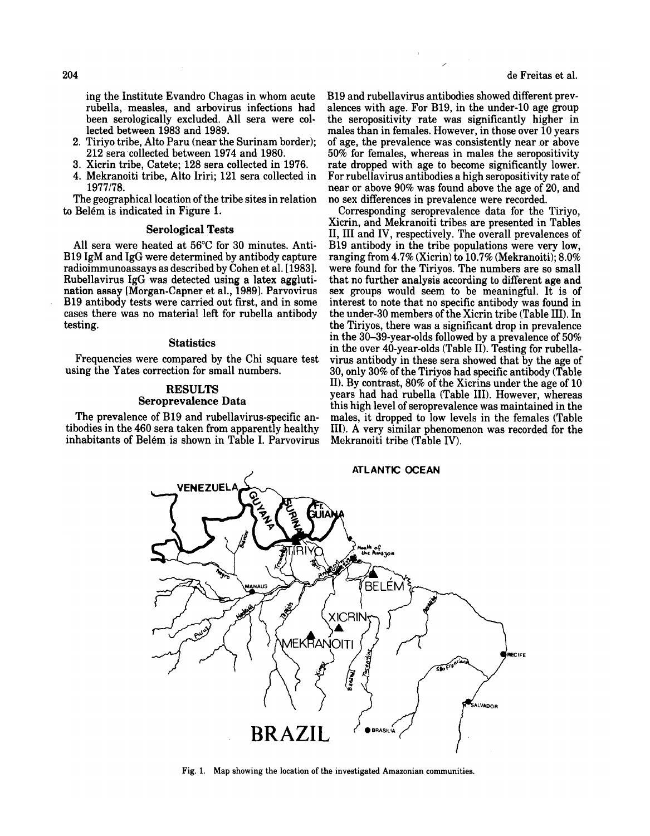- 
- 
- 

to Belém is indicated in Figure 1. Corresponding seroprevalence data for the Tiriyo,

B19 IgM and IgG were determined by antibody capture ranging from 4.7% (Xicrin) to 10.7% (Mekranoiti); 8.0% radioimmunoassays as described by Cohen et al. [1983]. were found for the Tiriyos. The numbers are so small radioimmunoassays as described by Cohen et al. [1983]. were found for the Tiriyos. The numbers are so small Rubellavirus IgG was detected using a latex aggluti-<br>that no further analysis according to different age and Rubellavirus IgG was detected using a latex aggluti- that no further analysis according to different age and nation assay [Morgan-Capner et al., 1989]. Parvovirus sex groups would seem to be meaningful. It is of nation assay [Morgan-Capner et aI., 1989]. Parvovirus sex groups would seem to be meaningful. It is of cases there was no materialleft for rubella antibody the under-30 members ofthe Xicrin tribe (Table IlI). In testing. the Tiriyos, there was a significant drop in prevalence

tibodies in the 460 sera taken from apparently healthy III). A very similar phenomenon was recorded for the inhabitants of Belém is shown in Table I. Parvovirus Mekranoiti tribe  $(Tab)$ .

ing the Institute Evandro Chagas in whom acute B19 and rubellavirus antibodies showed different prev-<br>rubella, measles, and arbovirus infections had alences with age. For B19, in the under-10 age group rubella, measles, and arbovirus infections had alences with age. For B19, in the under-10 age group been serologically excluded. All sera were col- the seropositivity rate was significantly higher in the seropositivity rate was significantly higher in lected between 1983 and 1989. males than in females. However, in those over 10 years 2. Tiriyo tribe, Alto Paru (near the Surinam border); of age, the prevalence was consistently near or above 212 sera collected between 1974 and 1980. 50% for females, whereas in males the seropositivity 212 sera collected between 1974 and 1980.  $50\%$  for females, whereas in males the seropositivity 3. Xicrin tribe, Catete; 128 sera collected in 1976. rate dropped with age to become significantly lower. 3. Xicrin tribe, Catete; 128 sera collected in 1976. rate dropped with age to become significantly lower.<br>4. Mekranoiti tribe, Alto Iriri; 121 sera collected in For rubellavirus antibodies a high seropositivity rate of 4. Mekranoiti tribe, Alto Iriri; 121 sera collected in For rubellavirus antibodies a high seropositivity rate of 1977/78.<br>The geographical location of the tribe sites in relation no sex differences in prevalence were recorded. no sex differences in prevalence were recorded.

Serological Tests Micrin, and Mekranoiti tribes are presented in Tables<br>II, III and IV, respectively. The overall prevalences of All sera were heated at 56°C for 30 minutes. Anti-<br>B19 antibody in the tribe populations were very low,<br>B19 IgM and IgG were determined by antibody capture ranging from 4.7% (Xicrin) to 10.7% (Mekranoiti): 8.0% interest to note that no specific antibody was found in Statistics in the 30-39-year-olds followed by a prevalence of 50%<br>in the over 40-year-olds (Table II). Testing for rubella-Frequencies were compared by the Chi square test virus antibody in these sera showed that by the age of using the Yates correction for small numbers. 30, only 30% of the Tiriyos had specific antibody (Table RESULTS 11). By contrast,  $80\%$  of the Xicrins under the age of 10 RESULIS<br>Seroprevalence Data seroprevalence was maintained in the<br>this high level of seroprevalence was maintained in the The prevalence of B19 and rubellavirus-specific an- males, it dropped to low levels in the females (Table



Fig. 1. Map showing the location of the investigated Amazonian communities.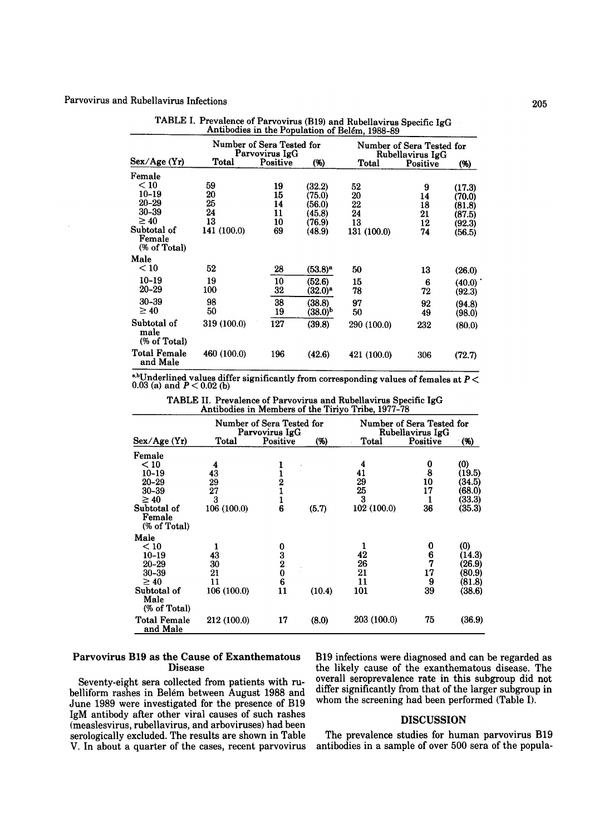Parvovirus and Rubellavirus Infections

Number of Sera Tested for Parvovirus IgG for Rumber of Sera Tested for<br>Parvovirus IgG Rubellavirus IgG  $S_{\text{ow}}(A_{\text{CO}}(V))$  Total Parvovirus  $\text{IgG}$  Rubellavirus  $\text{IgG}$ Sex/Age (Yr)<br>Female  $\mathbf{p}$  and  $\mathbf{p}$   $\mathbf{p}$   $\mathbf{p}$   $\mathbf{p}$   $\mathbf{p}$   $\mathbf{p}$   $\mathbf{p}$   $\mathbf{p}$   $\mathbf{p}$   $\mathbf{p}$   $\mathbf{p}$   $\mathbf{p}$   $\mathbf{p}$   $\mathbf{p}$   $\mathbf{p}$   $\mathbf{p}$   $\mathbf{p}$   $\mathbf{p}$   $\mathbf{p}$   $\mathbf{p}$   $\mathbf{p}$   $\mathbf{p}$   $\mathbf{p}$   $\leq 10$  59 19 (32.2) 52 9 (17.3)  $10-19$  20 15 (75.0) 20 14 (70.0)  $20-29$  25 14 (56.0) 22 18 (81.8)  $\frac{30-39}{24}$  11 (45.8) 24 21 (87.5)  $\geq 40$  13 10 (76.9) 13 12 (92.3) Subtotal of Female (% of Total)<br>Male  $\mathbf{a}$ le  $10$  52 28 (53.8)<sup>a</sup> 50 13 (26.0)  $10-19$  19  $10$   $(52.6)$  15 6  $(40.0)$  $\frac{32}{100}$   $\frac{32}{100}$   $\frac{32}{100}$   $\frac{32}{100}$   $\frac{32}{100}$   $\frac{32}{100}$   $\frac{32}{100}$   $\frac{32}{100}$   $\frac{32}{100}$   $\frac{32}{100}$   $\frac{32}{100}$   $\frac{32}{100}$   $\frac{32}{100}$   $\frac{32}{100}$   $\frac{32}{100}$   $\frac{32}{100}$   $\frac{32}{100}$   $30 - 39$  98  $38$   $(38.8)$  97 92  $(94.8)$  $\frac{540}{100}$   $\frac{19}{19}$   $\frac{(30.0)^2}{(30.0)^2}$  50 49 (98.0) Subtotal of (% of Total)  $T$   $(70 \text{ U} 100 \text{ U})$ Total Female<br>and Male

| TABLE I. Prevalence of Parvovirus (B19) and Rubellavirus Specific IgG |
|-----------------------------------------------------------------------|
| Antibodies in the Population of Belém, 1988-89                        |

a.bUnderlined values differ significantly from corresponding values of females at P <

TABLE II. Prevalence of Parvovirus and Rubellavirus Specific IgG Antibodies in Members of the Tiriyo Tribe, 1977-78

|                                       | Number of Sera Tested for<br>Parvovirus IgG |                                                 |        | Number of Sera Tested for<br>Rubellavirus IgG |          |        |
|---------------------------------------|---------------------------------------------|-------------------------------------------------|--------|-----------------------------------------------|----------|--------|
| Sex/Age (Yr)                          | Total                                       | Positive                                        | ( %)   | Total                                         | Positive | (%)    |
| Female                                |                                             |                                                 |        |                                               |          |        |
| < 10                                  | 4                                           |                                                 |        | 4                                             | 0        | (0)    |
| $10 - 19$                             | 43                                          |                                                 |        | 41                                            | 8        | (19.5) |
| $20 - 29$                             | 29                                          |                                                 |        | 29                                            | 10       | (34.5) |
| $30 - 39$                             | 27                                          |                                                 |        | 25                                            | 17       | (68.0) |
| $\geq 40$                             | 3                                           |                                                 |        | 3                                             |          | (33.3) |
| Subtotal of<br>Female<br>(% of Total) | 106 (100.0)                                 | 6                                               | (5.7)  | 102 (100.0)                                   | 36       | (35.3) |
| Male                                  |                                             |                                                 |        |                                               |          |        |
| < 10                                  |                                             | 0                                               |        |                                               | 0        | (0)    |
| $10 - 19$                             | 43                                          |                                                 |        | 42                                            | 6        | (14.3) |
| $20 - 29$                             | 30                                          | $\begin{smallmatrix} 3\ 2\ 0 \end{smallmatrix}$ |        | 26                                            | 7        | (26.9) |
| 30-39                                 | 21                                          |                                                 |        | 21                                            | 17       | (80.9) |
| $\geq 40$                             | 11                                          | 6                                               |        | 11                                            | 9        | (81.8) |
| Subtotal of<br>Male<br>(% of Total)   | 106 (100.0)                                 | 11                                              | (10.4) | 101                                           | 39       | (38.6) |
| <b>Total Female</b><br>and Male       | 212 (100.0)                                 | 17                                              | (8.0)  | 203 (100.0)                                   | 75       | (36.9) |

### Parvovirus B19 as the Cause of Exanthematous Disease

Seventy-eight sera collected from patients with rubelliform rashes in Belém between August 1988 and June 1989 were investigated for the presence of B19 IgM antibody after other viral causes of such rashes {measlesvirus, rubellavirus, and arboviruses} had been serologically excluded. The results are shown in Table V. ln about a quarter of the cases, recent parvovirus B19 infections were diagnosed and can be regarded as the likely cause of the exanthematous disease. The overall seroprevalence rate in this subgroup did not differ significantly from that of the larger subgroup in whom the screening had been performed (Table I).

### DISCUSSION

The prevalence studies for human parvovirus B19 antibodies in a sample of over 500 sera of the popula-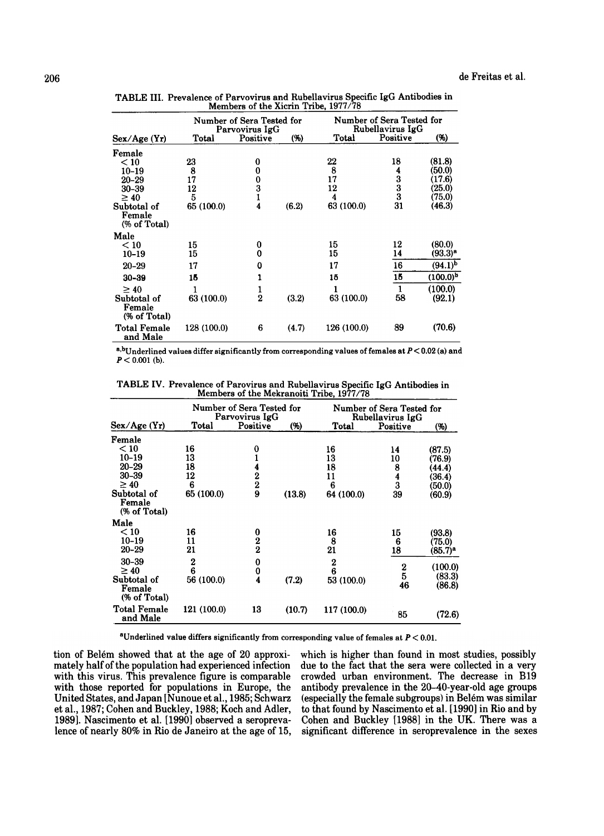| Members of the Aicrin Tribe, 1977/78  |                                             |                |       |                                               |               |               |
|---------------------------------------|---------------------------------------------|----------------|-------|-----------------------------------------------|---------------|---------------|
|                                       | Number of Sera Tested for<br>Parvovirus IgG |                |       | Number of Sera Tested for<br>Rubellavirus IgG |               |               |
| Sex/Age(Yr)                           | Total                                       | Positive       | (96)  | Total                                         | Positive      | (%)           |
| Female                                |                                             |                |       |                                               |               |               |
| < 10                                  | 23                                          | 0              |       | 22                                            | 18            | (81.8)        |
| $10 - 19$                             | 8                                           | 0              |       | 8                                             | 4             | (50.0)        |
| $20 - 29$                             | 17                                          | 0              |       | 17                                            |               | (17.6)        |
| $30 - 39$                             | 12                                          | 3              |       | 12                                            | $\frac{3}{3}$ | (25.0)        |
| $\geq 40$                             | 5                                           | $\mathbf{1}$   |       | 4                                             |               | (75.0)        |
| Subtotal of<br>Female<br>(% of Total) | 65 (100.0)                                  | 4              | (6.2) | 63 (100.0)                                    | 31            | (46.3)        |
| Male                                  |                                             |                |       |                                               |               |               |
| < 10                                  | 15                                          | 0              |       | 15                                            | 12            | (80.0)        |
| $10 - 19$                             | 15                                          | 0              |       | 15                                            | 14            | (93.3)ª       |
| $20 - 29$                             | 17                                          | 0              |       | 17                                            | 16            | $(94.1)^{b}$  |
| $30 - 39$                             | 15                                          |                |       | 15                                            | 15            | $(100.0)^{b}$ |
| $\geq 40$                             |                                             |                |       |                                               | 1             | (100.0)       |
| Subtotal of<br>Female<br>(% of Total) | 63 (100.0)                                  | $\overline{2}$ | (3.2) | 63 (100.0)                                    | 58            | (92.1)        |
| <b>Total Female</b><br>and Male       | 128 (100.0)                                 | 6              | (4.7) | 126 (100.0)                                   | 89            | (70.6)        |

TABLE III. Prevalence of Parvovirus and Rubellavirus Specific IgG Antibodies in Members of the Xicrin Tribe, 1977/78

a,bUnderlined values differ significantly from corresponding values of females at  $P < 0.02$  (a) and  $P < 0.001$  (b).

TABLE IV. Prevalence of Parovirus and Rubellavirus Specific IgG Antibodies in Members of the Mekranoiti Tribe, 1977/78

|                                       | Number of Sera Tested for<br>Parvovirus IgG |               |        | Number of Sera Tested for<br>Rubellavirus IgG |              |                  |
|---------------------------------------|---------------------------------------------|---------------|--------|-----------------------------------------------|--------------|------------------|
| Sex/Age (Yr)                          | Total                                       | Positive      | (%)    | Total                                         | Positive     | (%)              |
| Female                                |                                             |               |        |                                               |              |                  |
| $<$ 10 $\,$                           | 16                                          | 0             |        | 16                                            | 14           | (87.5)           |
| $10 - 19$                             | 13                                          |               |        | 13                                            | 10           | (76.9)           |
| $20 - 29$                             | 18                                          | 4             |        | 18                                            | 8            | (44.4)           |
| $30 - 39$                             | 12                                          |               |        | 11                                            | 4            | (36.4)           |
| $\geq 40$                             | 6                                           | $\frac{2}{2}$ |        | 6                                             | 3            | (50.0)           |
| Subtotal of<br>Female<br>(% of Total) | 65 (100.0)                                  | 9             | (13.8) | 64 (100.0)                                    | 39           | (60.9)           |
| Male                                  |                                             |               |        |                                               |              |                  |
| < 10                                  | 16                                          | 0             |        | 16                                            | 15           | (93.8)           |
| $10 - 19$                             | 11                                          |               |        | 8                                             | 6            | (75.0)           |
| $20 - 29$                             | 21                                          | $\frac{2}{2}$ |        | 21                                            | 18           | $(85.7)^a$       |
| 30-39                                 | 2                                           | 0             |        | 2                                             |              |                  |
| $\geq 40$                             | 6                                           | 0             |        | 6                                             | $\mathbf{2}$ | (100.0)          |
| Subtotal of<br>Female<br>(% of Total) | 56 (100.0)                                  | 4             | (7.2)  | 53 (100.0)                                    | 5<br>46      | (83.3)<br>(86.8) |
| <b>Total Female</b><br>and Male       | 121 (100.0)                                 | 13            | (10.7) | 117 (100.0)                                   | 85           | (72.6)           |

<sup>a</sup>Underlined value differs significantly from corresponding value of females at  $P < 0.01$ .

mately half of the population had experienced infection due to the fact that the sera were collected in a very<br>with this virus. This prevalence figure is comparable crowded urban environment. The decrease in B19 United States, and Japan [Nunoue et aI., 1985; Schwarz (especially the female subgroups) in Belém was similar et aI., 1987; Cohen and Buckley, 1988; Koch and Adler, to that found by Nascimento et aI. [1990] in Rio and by 1989]. Nascimento et al. [1990] observed a seropreva-<br>lence of nearly 80% in Rio de Janeiro at the age of 15,

tion of Belém showed that at the age of 20 approxi- which is higher than found in most studies, possibly mately half of the population had experienced infection due to the fact that the sera were collected in a very crowded urban environment. The decrease in B19 antibody prevalence in the 20–40-year-old age groups with those reported for populations in Europe, the antibody prevalence in the 20-40-year-old age groups significant difference in seroprevalence in the sexes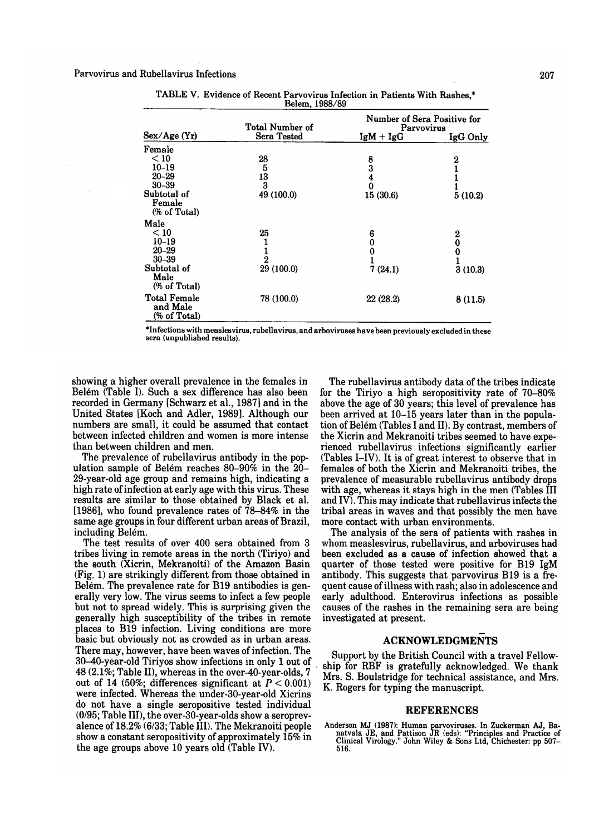| DUIGIII, 1900/09                                                                     |                                   |                               |                                           |  |  |  |
|--------------------------------------------------------------------------------------|-----------------------------------|-------------------------------|-------------------------------------------|--|--|--|
|                                                                                      | Total Number of                   |                               | Number of Sera Positive for<br>Parvovirus |  |  |  |
| Sex/Age (Yr)                                                                         | Sera Tested                       | $IgM + IgG$                   | IgG Only                                  |  |  |  |
| Female                                                                               |                                   |                               |                                           |  |  |  |
| < 10<br>$10 - 19$<br>$20 - 29$<br>$30 - 39$<br>Subtotal of<br>Female<br>(% of Total) | 28<br>5<br>13<br>3<br>49 (100.0)  | 8<br>3<br>4<br>0<br>15 (30.6) | $\boldsymbol{2}$<br>5(10.2)               |  |  |  |
| Male                                                                                 |                                   |                               |                                           |  |  |  |
| < 10<br>$10 - 19$<br>$20 - 29$<br>$30 - 39$<br>Subtotal of<br>Male<br>(% of Total)   | 25<br>$\frac{1}{2}$<br>29 (100.0) | 6<br>0<br>7(24.1)             | 2<br>0<br>0<br>3(10.3)                    |  |  |  |
| Total Female<br>and Male<br>(% of Total)                                             | 78 (100.0)                        | 22 (28.2)                     | 8(11.5)                                   |  |  |  |

TABLE V. Evidence oí Recent Parvovirus lníection in Patients With Rashes,\*  $B_{\text{elam}}$ , 1088/80

\*Infections with measlesvirus, rubellavirus, and arboviruses have been previously excluded in these sera (unpublished resulta).

showing a higher overall prevalence in the females in The rubellavirus antibody data of the tribes indicate<br>Belém (Table I). Such a sex difference has also been for the Tirivo a high seropositivity rate of 70–80% recorded in Germany [Schwarz et al., 1987] and in the above the age of 30 years; this level of prevalence has United States [Koch and Adler, 1989]. Although our been arrived at 10–15 years later than in the popula-<br>numbers are small, it could be assumed that contact tion of Belém (Tables I and II). By contrast, members of

same age groups in four different urban areas of Brazil,

tribes living in remote areas in the north (Tiriyo) and been excluded as a cause of infection showed that a<br>the south (Xicrin, Mekranoiti) of the Amazon Basin quarter of those tested were positive for B19 IgM the south (Xicrin, Mekranoiti) of the Amazon Basin quarter of those tested were positive for B19 IgM<br>(Fig. 1) are strikingly different from those obtained in antibody. This suggests that parvovirus B19 is a fre-(Fig. 1) are strikingly different from those obtained in antibody. This suggests that parvovirus B19 is a fre-<br>Belém. The prevalence rate for B19 antibodies is gen-quent cause of illness with rash; also in adolescence and generally high susceptibility of the tribes in remote investigated at present. places to B19 infection. Living conditions are more basic but obviously not as crowded as in urban areas. ACKNOWLEDGMENTS There may, however, have been waves of infection. The Support by the British Council with a travel Fellowout of 14 (50%; differences significant at  $P < 0.001$ ) K. Rogers for typing the manuscript. were infected. Whereas the under-30-year-old Xicrins do not have a single seropositive tested individual  $(0.05, T_{\text{sub}})$  REFERENCES (0/95; Table IlI), the over-30-year-olds show a seroprevalence of 18.2% (6/33; Table III). The Mekranoiti people Anderson MJ (1987): Human parvoviruses. In Zuckerman AJ, Bathe age groups above 10 years old  $(Table IV)$ .  $516$ .

for the Tiriyo a high seropositivity rate of  $70-80\%$ numbers are small, it could be assumed that contact tion of Belém (Tables I and II). By contrast, members of between infected children and women is more intense the Xicrin and Mekranoiti tribes seemed to have expebetween infected children and women is more intense the Xicrin and Mekranoiti tribes seemed to have expe-<br>than between children and men. an between children and men.<br>The prevalence of rubellavirus antibody in the pop- (Tables I-IV). It is of great interest to observe that in The prevalence of rubellavirus antibody in the pop- (Tables I-IV). It is of great interest to observe that in ulation sample of Belém reaches 80–90% in the 20- females of both the Xicrin and Mekranoiti tribes, the females of both the Xicrin and Mekranoiti tribes, the 29-year-old age group and remains high, indicating a prevalence of measurable rubellavirus antibody drops high rate of infection at early age with this virus. These with age, whereas it stays high in the men (Tables III results are similar to those obtained by Black et al. and IV). This may indicate that rubellavirus infects t results are similar to those obtained by Black et al. and IV). This may indicate that rubellavirus infects the  $[1986]$ , who found prevalence rates of 78–84% in the tribal areas in waves and that possibly the men have tribal areas in waves and that possibly the men have more contact with urban environments.

including Belém.<br>The test results of over 400 sera obtained from 3 whom measlesvirus, rubellavirus, and arboviruses had whom measlesvirus, rubellavirus, and arboviruses had quent cause of illness with rash; also in adolescence and erally very low. The virus seems to infect a few people early adulthood. Enterovirus infections as possible but not to spread widely. This is surprising given the causes of the rashes in the remaining sera are being

 $30-40$ -year-old Tiriyos show infections in only 1 out of ship for RBF is gratefully acknowledged. We thank 48 (2.1%; Table II), whereas in the over-40-year-olds, 7  $\frac{1000 \text{ m}}{\text{Mrs}}$ . S. Boulstridge for technical assistance, and Mrs.

show a constant seropositivity of approximately 15% in natvala JE, and Pattison JR (eds): "Principles and Practice of Clinical Virology." John Wiley & Sons Ltd, Chichester: pp 507-